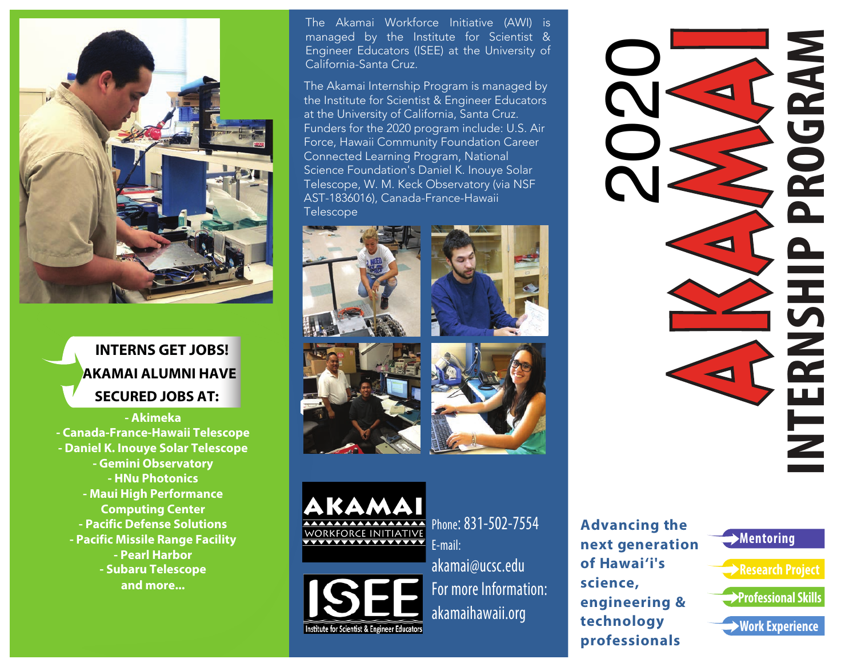

## **INTERNS GET JOBS! AKAMAI ALUMNI HAVE SECURED JOBS AT:**

**- Akimeka - Canada-France-Hawaii Telescope - Daniel K. Inouye Solar Telescope - Gemini Observatory - HNu Photonics - Maui High Performance Computing Center - Pacific Defense Solutions - Pacific Missile Range Facility - Pearl Harbor - Subaru Telescope and more...**

The Akamai Workforce Initiative (AWI) is managed by the Institute for Scientist & Engineer Educators (ISEE) at the University of California-Santa Cruz.

The Akamai Internship Program is managed by the Institute for Scientist & Engineer Educators at the University of California, Santa Cruz. Funders for the 2020 program include: U.S. Air Force, Hawaii Community Foundation Career Connected Learning Program, National Science Foundation's Daniel K. Inouye Solar Telescope, W. M. Keck Observatory (via NSF AST-1836016), Canada-France-Hawaii Telescope









KAMA **VORKFORCE INITIATIVE WAXAWAXAYAYAY** 



Phone: 831-502-7554 E-mail: akamai@ucsc.edu For more Information: akamaihawaii.org

**Advancing the next generation of Hawai'i's science, engineering & technology professionals**

**Mentoring**



AKAMANI KA **INTERNSHIP PROGRAM** 2020<br>2020 **NAN**  $\overline{\phantom{1}}$